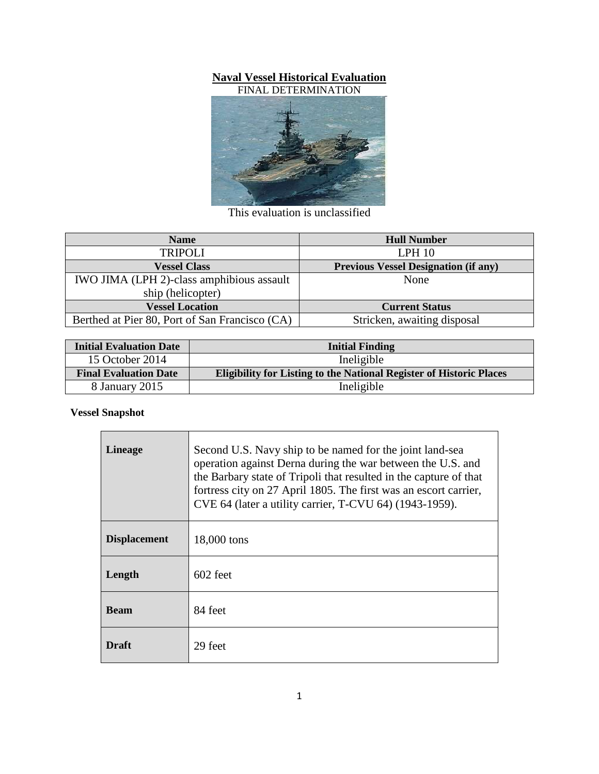## **Naval Vessel Historical Evaluation**

FINAL DETERMINATION



This evaluation is unclassified

| <b>Name</b>                                    | <b>Hull Number</b>                          |
|------------------------------------------------|---------------------------------------------|
| <b>TRIPOLI</b>                                 | LPH 10                                      |
| <b>Vessel Class</b>                            | <b>Previous Vessel Designation (if any)</b> |
| IWO JIMA (LPH 2)-class amphibious assault      | None                                        |
| ship (helicopter)                              |                                             |
| <b>Vessel Location</b>                         | <b>Current Status</b>                       |
| Berthed at Pier 80, Port of San Francisco (CA) | Stricken, awaiting disposal                 |

| <b>Initial Evaluation Date</b> | <b>Initial Finding</b>                                                     |
|--------------------------------|----------------------------------------------------------------------------|
| 15 October 2014                | Ineligible                                                                 |
| <b>Final Evaluation Date</b>   | <b>Eligibility for Listing to the National Register of Historic Places</b> |
| 8 January 2015                 | Ineligible                                                                 |

## **Vessel Snapshot**

| <b>Lineage</b>      | Second U.S. Navy ship to be named for the joint land-sea<br>operation against Derna during the war between the U.S. and<br>the Barbary state of Tripoli that resulted in the capture of that<br>fortress city on 27 April 1805. The first was an escort carrier,<br>CVE 64 (later a utility carrier, T-CVU 64) (1943-1959). |
|---------------------|-----------------------------------------------------------------------------------------------------------------------------------------------------------------------------------------------------------------------------------------------------------------------------------------------------------------------------|
| <b>Displacement</b> | 18,000 tons                                                                                                                                                                                                                                                                                                                 |
| Length              | $602$ feet                                                                                                                                                                                                                                                                                                                  |
| Beam                | 84 feet                                                                                                                                                                                                                                                                                                                     |
| <b>Draft</b>        | 29 feet                                                                                                                                                                                                                                                                                                                     |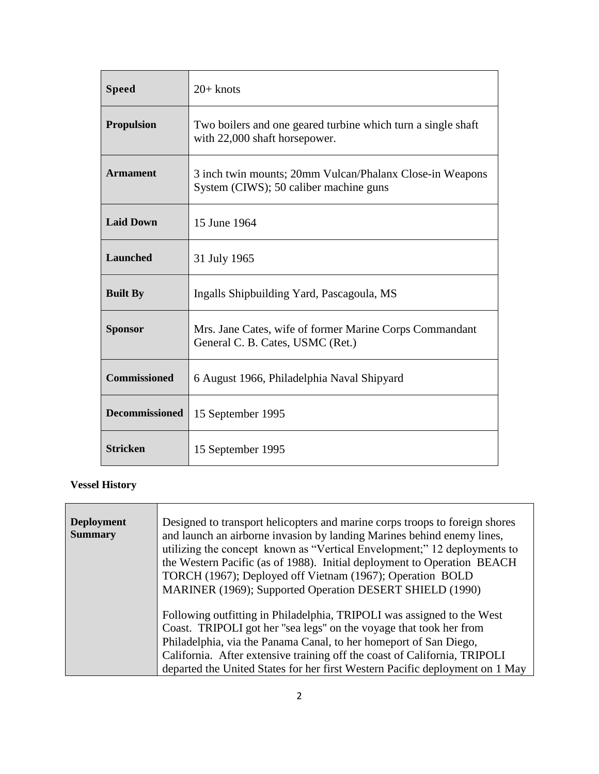| <b>Speed</b>          | $20+$ knots                                                                                        |
|-----------------------|----------------------------------------------------------------------------------------------------|
| <b>Propulsion</b>     | Two boilers and one geared turbine which turn a single shaft<br>with 22,000 shaft horsepower.      |
| <b>Armament</b>       | 3 inch twin mounts; 20mm Vulcan/Phalanx Close-in Weapons<br>System (CIWS); 50 caliber machine guns |
| <b>Laid Down</b>      | 15 June 1964                                                                                       |
| Launched              | 31 July 1965                                                                                       |
| <b>Built By</b>       | Ingalls Shipbuilding Yard, Pascagoula, MS                                                          |
| <b>Sponsor</b>        | Mrs. Jane Cates, wife of former Marine Corps Commandant<br>General C. B. Cates, USMC (Ret.)        |
| <b>Commissioned</b>   | 6 August 1966, Philadelphia Naval Shipyard                                                         |
| <b>Decommissioned</b> | 15 September 1995                                                                                  |
| <b>Stricken</b>       | 15 September 1995                                                                                  |

# **Vessel History**

| <b>Deployment</b><br><b>Summary</b> | Designed to transport helicopters and marine corps troops to foreign shores<br>and launch an airborne invasion by landing Marines behind enemy lines,<br>utilizing the concept known as "Vertical Envelopment;" 12 deployments to<br>the Western Pacific (as of 1988). Initial deployment to Operation BEACH<br>TORCH (1967); Deployed off Vietnam (1967); Operation BOLD<br>MARINER (1969); Supported Operation DESERT SHIELD (1990) |
|-------------------------------------|---------------------------------------------------------------------------------------------------------------------------------------------------------------------------------------------------------------------------------------------------------------------------------------------------------------------------------------------------------------------------------------------------------------------------------------|
|                                     | Following outfitting in Philadelphia, TRIPOLI was assigned to the West<br>Coast. TRIPOLI got her "sea legs" on the voyage that took her from<br>Philadelphia, via the Panama Canal, to her homeport of San Diego,<br>California. After extensive training off the coast of California, TRIPOLI<br>departed the United States for her first Western Pacific deployment on 1 May                                                        |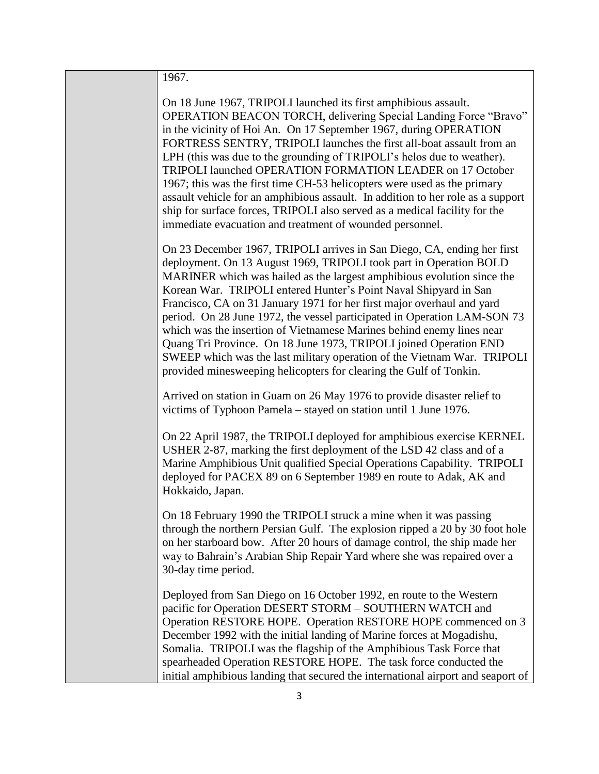| 1967.                                                                                                                                                                                                                                                                                                                                                                                                                                                                                                                                                                                                                                                                                                                                            |
|--------------------------------------------------------------------------------------------------------------------------------------------------------------------------------------------------------------------------------------------------------------------------------------------------------------------------------------------------------------------------------------------------------------------------------------------------------------------------------------------------------------------------------------------------------------------------------------------------------------------------------------------------------------------------------------------------------------------------------------------------|
| On 18 June 1967, TRIPOLI launched its first amphibious assault.<br>OPERATION BEACON TORCH, delivering Special Landing Force "Bravo"<br>in the vicinity of Hoi An. On 17 September 1967, during OPERATION<br>FORTRESS SENTRY, TRIPOLI launches the first all-boat assault from an<br>LPH (this was due to the grounding of TRIPOLI's helos due to weather).<br>TRIPOLI launched OPERATION FORMATION LEADER on 17 October<br>1967; this was the first time CH-53 helicopters were used as the primary<br>assault vehicle for an amphibious assault. In addition to her role as a support<br>ship for surface forces, TRIPOLI also served as a medical facility for the<br>immediate evacuation and treatment of wounded personnel.                 |
| On 23 December 1967, TRIPOLI arrives in San Diego, CA, ending her first<br>deployment. On 13 August 1969, TRIPOLI took part in Operation BOLD<br>MARINER which was hailed as the largest amphibious evolution since the<br>Korean War. TRIPOLI entered Hunter's Point Naval Shipyard in San<br>Francisco, CA on 31 January 1971 for her first major overhaul and yard<br>period. On 28 June 1972, the vessel participated in Operation LAM-SON 73<br>which was the insertion of Vietnamese Marines behind enemy lines near<br>Quang Tri Province. On 18 June 1973, TRIPOLI joined Operation END<br>SWEEP which was the last military operation of the Vietnam War. TRIPOLI<br>provided minesweeping helicopters for clearing the Gulf of Tonkin. |
| Arrived on station in Guam on 26 May 1976 to provide disaster relief to<br>victims of Typhoon Pamela – stayed on station until 1 June 1976.                                                                                                                                                                                                                                                                                                                                                                                                                                                                                                                                                                                                      |
| On 22 April 1987, the TRIPOLI deployed for amphibious exercise KERNEL<br>USHER 2-87, marking the first deployment of the LSD 42 class and of a<br>Marine Amphibious Unit qualified Special Operations Capability. TRIPOLI<br>deployed for PACEX 89 on 6 September 1989 en route to Adak, AK and<br>Hokkaido, Japan.                                                                                                                                                                                                                                                                                                                                                                                                                              |
| On 18 February 1990 the TRIPOLI struck a mine when it was passing<br>through the northern Persian Gulf. The explosion ripped a 20 by 30 foot hole<br>on her starboard bow. After 20 hours of damage control, the ship made her<br>way to Bahrain's Arabian Ship Repair Yard where she was repaired over a<br>30-day time period.                                                                                                                                                                                                                                                                                                                                                                                                                 |
| Deployed from San Diego on 16 October 1992, en route to the Western<br>pacific for Operation DESERT STORM - SOUTHERN WATCH and<br>Operation RESTORE HOPE. Operation RESTORE HOPE commenced on 3<br>December 1992 with the initial landing of Marine forces at Mogadishu,<br>Somalia. TRIPOLI was the flagship of the Amphibious Task Force that<br>spearheaded Operation RESTORE HOPE. The task force conducted the<br>initial amphibious landing that secured the international airport and seaport of                                                                                                                                                                                                                                          |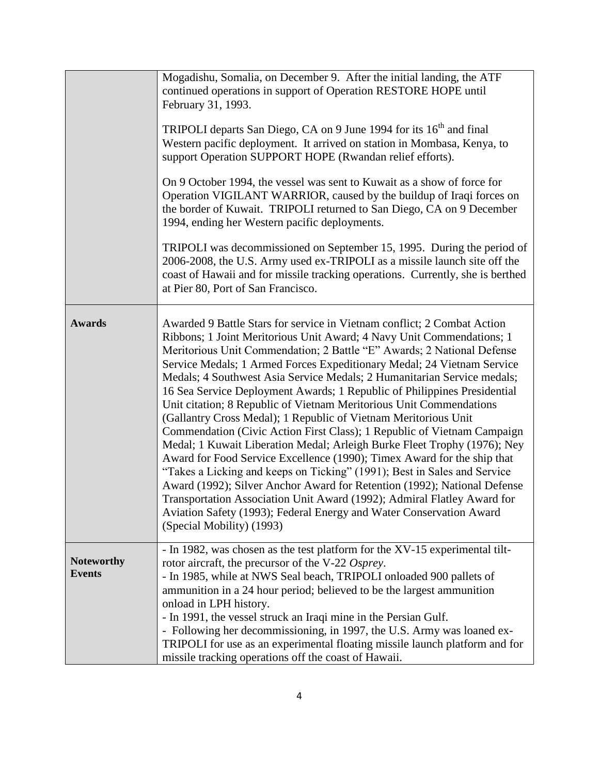|                                    | Mogadishu, Somalia, on December 9. After the initial landing, the ATF<br>continued operations in support of Operation RESTORE HOPE until<br>February 31, 1993.<br>TRIPOLI departs San Diego, CA on 9 June 1994 for its 16 <sup>th</sup> and final<br>Western pacific deployment. It arrived on station in Mombasa, Kenya, to<br>support Operation SUPPORT HOPE (Rwandan relief efforts).<br>On 9 October 1994, the vessel was sent to Kuwait as a show of force for<br>Operation VIGILANT WARRIOR, caused by the buildup of Iraqi forces on<br>the border of Kuwait. TRIPOLI returned to San Diego, CA on 9 December<br>1994, ending her Western pacific deployments.<br>TRIPOLI was decommissioned on September 15, 1995. During the period of<br>2006-2008, the U.S. Army used ex-TRIPOLI as a missile launch site off the<br>coast of Hawaii and for missile tracking operations. Currently, she is berthed<br>at Pier 80, Port of San Francisco.                                                                                                                                                                                                                           |
|------------------------------------|--------------------------------------------------------------------------------------------------------------------------------------------------------------------------------------------------------------------------------------------------------------------------------------------------------------------------------------------------------------------------------------------------------------------------------------------------------------------------------------------------------------------------------------------------------------------------------------------------------------------------------------------------------------------------------------------------------------------------------------------------------------------------------------------------------------------------------------------------------------------------------------------------------------------------------------------------------------------------------------------------------------------------------------------------------------------------------------------------------------------------------------------------------------------------------|
| <b>Awards</b>                      | Awarded 9 Battle Stars for service in Vietnam conflict; 2 Combat Action<br>Ribbons; 1 Joint Meritorious Unit Award; 4 Navy Unit Commendations; 1<br>Meritorious Unit Commendation; 2 Battle "E" Awards; 2 National Defense<br>Service Medals; 1 Armed Forces Expeditionary Medal; 24 Vietnam Service<br>Medals; 4 Southwest Asia Service Medals; 2 Humanitarian Service medals;<br>16 Sea Service Deployment Awards; 1 Republic of Philippines Presidential<br>Unit citation; 8 Republic of Vietnam Meritorious Unit Commendations<br>(Gallantry Cross Medal); 1 Republic of Vietnam Meritorious Unit<br>Commendation (Civic Action First Class); 1 Republic of Vietnam Campaign<br>Medal; 1 Kuwait Liberation Medal; Arleigh Burke Fleet Trophy (1976); Ney<br>Award for Food Service Excellence (1990); Timex Award for the ship that<br>"Takes a Licking and keeps on Ticking" (1991); Best in Sales and Service<br>Award (1992); Silver Anchor Award for Retention (1992); National Defense<br>Transportation Association Unit Award (1992); Admiral Flatley Award for<br>Aviation Safety (1993); Federal Energy and Water Conservation Award<br>(Special Mobility) (1993) |
| <b>Noteworthy</b><br><b>Events</b> | - In 1982, was chosen as the test platform for the XV-15 experimental tilt-<br>rotor aircraft, the precursor of the V-22 Osprey.<br>- In 1985, while at NWS Seal beach, TRIPOLI onloaded 900 pallets of<br>ammunition in a 24 hour period; believed to be the largest ammunition<br>onload in LPH history.<br>- In 1991, the vessel struck an Iraqi mine in the Persian Gulf.<br>- Following her decommissioning, in 1997, the U.S. Army was loaned ex-<br>TRIPOLI for use as an experimental floating missile launch platform and for<br>missile tracking operations off the coast of Hawaii.                                                                                                                                                                                                                                                                                                                                                                                                                                                                                                                                                                                 |